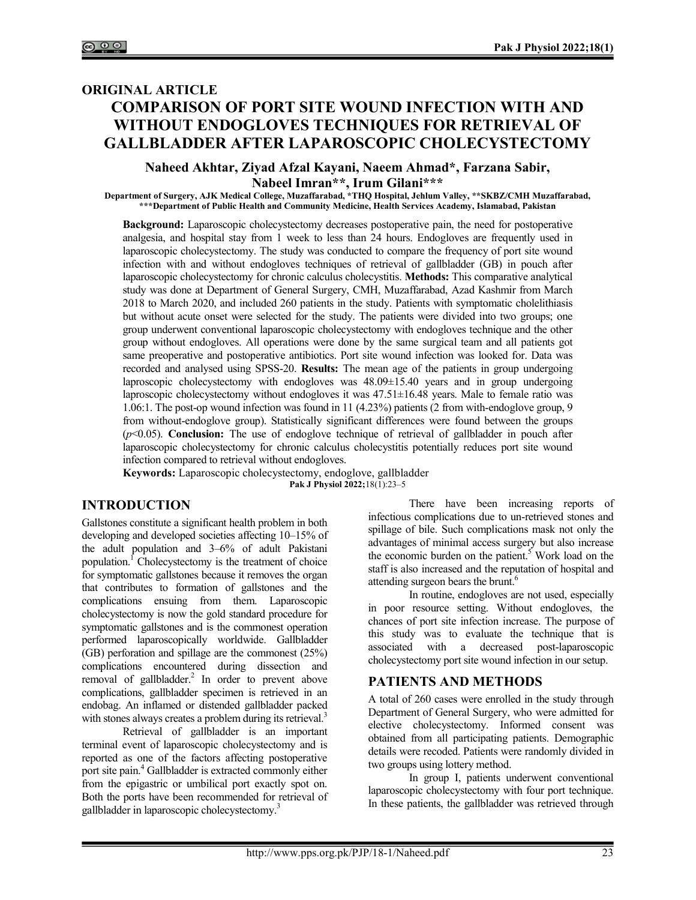# ORIGINAL ARTICLE COMPARISON OF PORT SITE WOUND INFECTION WITH AND WITHOUT ENDOGLOVES TECHNIQUES FOR RETRIEVAL OF GALLBLADDER AFTER LAPAROSCOPIC CHOLECYSTECTOMY

Naheed Akhtar, Ziyad Afzal Kayani, Naeem Ahmad\*, Farzana Sabir, Nabeel Imran\*\*, Irum Gilani\*\*\*

Department of Surgery, AJK Medical College, Muzaffarabad, \*THQ Hospital, Jehlum Valley, \*\*SKBZ/CMH Muzaffarabad, \*\*\*Department of Public Health and Community Medicine, Health Services Academy, Islamabad, Pakistan

Background: Laparoscopic cholecystectomy decreases postoperative pain, the need for postoperative analgesia, and hospital stay from 1 week to less than 24 hours. Endogloves are frequently used in laparoscopic cholecystectomy. The study was conducted to compare the frequency of port site wound infection with and without endogloves techniques of retrieval of gallbladder (GB) in pouch after laparoscopic cholecystectomy for chronic calculus cholecystitis. Methods: This comparative analytical study was done at Department of General Surgery, CMH, Muzaffarabad, Azad Kashmir from March 2018 to March 2020, and included 260 patients in the study. Patients with symptomatic cholelithiasis but without acute onset were selected for the study. The patients were divided into two groups; one group underwent conventional laparoscopic cholecystectomy with endogloves technique and the other group without endogloves. All operations were done by the same surgical team and all patients got same preoperative and postoperative antibiotics. Port site wound infection was looked for. Data was recorded and analysed using SPSS-20. Results: The mean age of the patients in group undergoing laproscopic cholecystectomy with endogloves was 48.09±15.40 years and in group undergoing laproscopic cholecystectomy without endogloves it was 47.51±16.48 years. Male to female ratio was 1.06:1. The post-op wound infection was found in 11 (4.23%) patients (2 from with-endoglove group, 9 from without-endoglove group). Statistically significant differences were found between the groups  $(p<0.05)$ . Conclusion: The use of endoglove technique of retrieval of gallbladder in pouch after laparoscopic cholecystectomy for chronic calculus cholecystitis potentially reduces port site wound infection compared to retrieval without endogloves.

Keywords: Laparoscopic cholecystectomy, endoglove, gallbladder Pak J Physiol 2022;18(1):23-5

# INTRODUCTION

Gallstones constitute a significant health problem in both developing and developed societies affecting 10–15% of the adult population and 3–6% of adult Pakistani population.<sup>1</sup> Cholecystectomy is the treatment of choice for symptomatic gallstones because it removes the organ that contributes to formation of gallstones and the complications ensuing from them. Laparoscopic cholecystectomy is now the gold standard procedure for symptomatic gallstones and is the commonest operation performed laparoscopically worldwide. Gallbladder (GB) perforation and spillage are the commonest (25%) complications encountered during dissection and  $removal$  of gallbladder.<sup>2</sup> In order to prevent above complications, gallbladder specimen is retrieved in an endobag. An inflamed or distended gallbladder packed with stones always creates a problem during its retrieval.<sup>3</sup>

Retrieval of gallbladder is an important terminal event of laparoscopic cholecystectomy and is reported as one of the factors affecting postoperative port site pain.<sup>4</sup> Gallbladder is extracted commonly either from the epigastric or umbilical port exactly spot on. Both the ports have been recommended for retrieval of gallbladder in laparoscopic cholecystectomy.<sup>3</sup>

There have been increasing reports of infectious complications due to un-retrieved stones and spillage of bile. Such complications mask not only the advantages of minimal access surgery but also increase the economic burden on the patient.<sup>5</sup> Work load on the staff is also increased and the reputation of hospital and attending surgeon bears the brunt.<sup>6</sup>

In routine, endogloves are not used, especially in poor resource setting. Without endogloves, the chances of port site infection increase. The purpose of this study was to evaluate the technique that is associated with a decreased post-laparoscopic cholecystectomy port site wound infection in our setup.

### PATIENTS AND METHODS

A total of 260 cases were enrolled in the study through Department of General Surgery, who were admitted for elective cholecystectomy. Informed consent was obtained from all participating patients. Demographic details were recoded. Patients were randomly divided in two groups using lottery method.

In group I, patients underwent conventional laparoscopic cholecystectomy with four port technique. In these patients, the gallbladder was retrieved through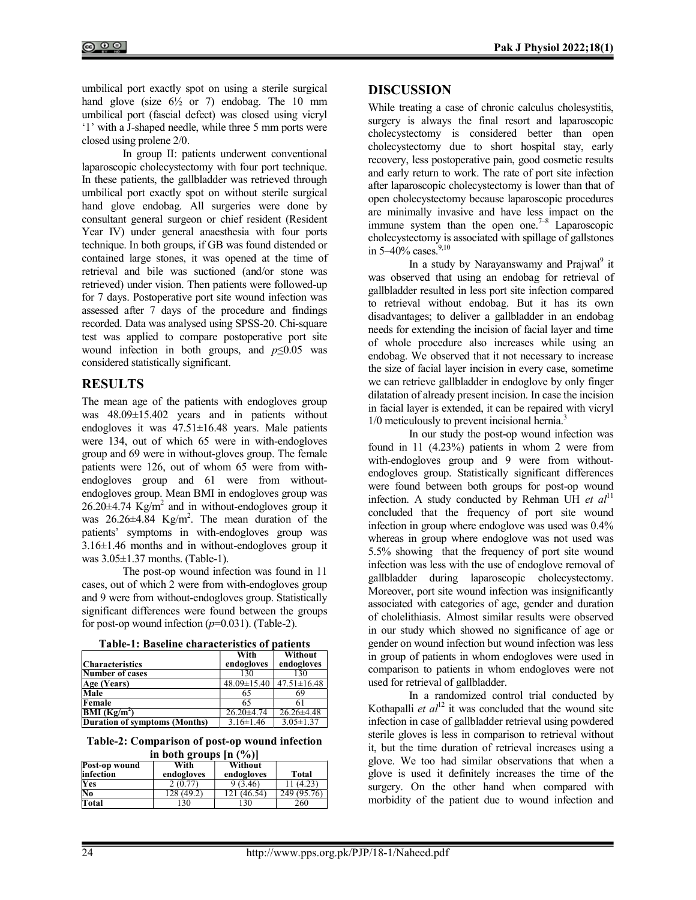umbilical port exactly spot on using a sterile surgical hand glove (size  $6\frac{1}{2}$  or 7) endobag. The 10 mm umbilical port (fascial defect) was closed using vicryl '1' with a J-shaped needle, while three 5 mm ports were closed using prolene 2/0.

In group II: patients underwent conventional laparoscopic cholecystectomy with four port technique. In these patients, the gallbladder was retrieved through umbilical port exactly spot on without sterile surgical hand glove endobag. All surgeries were done by consultant general surgeon or chief resident (Resident Year IV) under general anaesthesia with four ports technique. In both groups, if GB was found distended or contained large stones, it was opened at the time of retrieval and bile was suctioned (and/or stone was retrieved) under vision. Then patients were followed-up for 7 days. Postoperative port site wound infection was assessed after 7 days of the procedure and findings recorded. Data was analysed using SPSS-20. Chi-square test was applied to compare postoperative port site wound infection in both groups, and  $p \leq 0.05$  was considered statistically significant.

# RESULTS

The mean age of the patients with endogloves group was 48.09±15.402 years and in patients without endogloves it was 47.51±16.48 years. Male patients were 134, out of which 65 were in with-endogloves group and 69 were in without-gloves group. The female patients were 126, out of whom 65 were from withendogloves group and 61 were from withoutendogloves group. Mean BMI in endogloves group was  $26.20\pm4.74$  Kg/m<sup>2</sup> and in without-endogloves group it was  $26.26 \pm 4.84$  Kg/m<sup>2</sup>. The mean duration of the patients' symptoms in with-endogloves group was 3.16±1.46 months and in without-endogloves group it was 3.05±1.37 months. (Table-1).

The post-op wound infection was found in 11 cases, out of which 2 were from with-endogloves group and 9 were from without-endogloves group. Statistically significant differences were found between the groups for post-op wound infection  $(p=0.031)$ . (Table-2).

|  |  |  | Table-1: Baseline characteristics of patients |  |  |
|--|--|--|-----------------------------------------------|--|--|
|--|--|--|-----------------------------------------------|--|--|

|                                                | With                              | Without          |
|------------------------------------------------|-----------------------------------|------------------|
| <b>Characteristics</b>                         | endogloves                        | endogloves       |
| Number of cases                                | 130                               | 130              |
| Age (Years)                                    | $48.09\pm15.40$   $47.51\pm16.48$ |                  |
| Male                                           | 65                                | 69               |
| Female                                         | 65                                | 61               |
| $\overline{\mathrm{BMI}}$ (Kg/m <sup>2</sup> ) | $26.20 \pm 4.74$                  | $26.26 \pm 4.48$ |
| <b>Duration of symptoms (Months)</b>           | $3.16 \pm 1.46$                   | $3.05 \pm 1.37$  |

Table-2: Comparison of post-op wound infection in both groups [n (%)]

| Post-op wound<br>infection | With<br>endogloves | Without<br>endogloves | Total       |
|----------------------------|--------------------|-----------------------|-------------|
| Yes                        | 2 (0.77)           | 9(3,46)               | (4.23)      |
| $\overline{\text{No}}$     | (49.2)             | (46.54)               | 249 (95.76) |
| Total                      | 30                 | 30                    | 260         |

### DISCUSSION

While treating a case of chronic calculus cholesystitis, surgery is always the final resort and laparoscopic cholecystectomy is considered better than open cholecystectomy due to short hospital stay, early recovery, less postoperative pain, good cosmetic results and early return to work. The rate of port site infection after laparoscopic cholecystectomy is lower than that of open cholecystectomy because laparoscopic procedures are minimally invasive and have less impact on the immune system than the open one.<sup>7-8</sup> Laparoscopic cholecystectomy is associated with spillage of gallstones in  $5-40\%$  cases.<sup>9,10</sup>

In a study by Narayanswamy and Prajwal<sup>9</sup> it was observed that using an endobag for retrieval of gallbladder resulted in less port site infection compared to retrieval without endobag. But it has its own disadvantages; to deliver a gallbladder in an endobag needs for extending the incision of facial layer and time of whole procedure also increases while using an endobag. We observed that it not necessary to increase the size of facial layer incision in every case, sometime we can retrieve gallbladder in endoglove by only finger dilatation of already present incision. In case the incision in facial layer is extended, it can be repaired with vicryl 1/0 meticulously to prevent incisional hernia.<sup>3</sup>

In our study the post-op wound infection was found in 11 (4.23%) patients in whom 2 were from with-endogloves group and 9 were from withoutendogloves group. Statistically significant differences were found between both groups for post-op wound infection. A study conducted by Rehman UH et  $al<sup>11</sup>$ concluded that the frequency of port site wound infection in group where endoglove was used was 0.4% whereas in group where endoglove was not used was 5.5% showing that the frequency of port site wound infection was less with the use of endoglove removal of gallbladder during laparoscopic cholecystectomy. Moreover, port site wound infection was insignificantly associated with categories of age, gender and duration of cholelithiasis. Almost similar results were observed in our study which showed no significance of age or gender on wound infection but wound infection was less in group of patients in whom endogloves were used in comparison to patients in whom endogloves were not used for retrieval of gallbladder.

In a randomized control trial conducted by Kothapalli et  $al<sup>12</sup>$  it was concluded that the wound site infection in case of gallbladder retrieval using powdered sterile gloves is less in comparison to retrieval without it, but the time duration of retrieval increases using a glove. We too had similar observations that when a glove is used it definitely increases the time of the surgery. On the other hand when compared with morbidity of the patient due to wound infection and